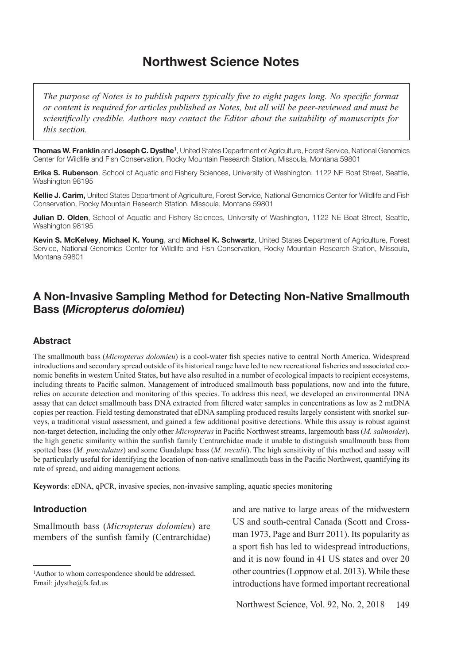# **Northwest Science Notes**

*The purpose of Notes is to publish papers typically five to eight pages long. No specific format or content is required for articles published as Notes, but all will be peer-reviewed and must be scientifically credible. Authors may contact the Editor about the suitability of manuscripts for this section.*

**Thomas W. Franklin** and **Joseph C. Dysthe<sup>1</sup>**, United States Department of Agriculture, Forest Service, National Genomics Center for Wildlife and Fish Conservation, Rocky Mountain Research Station, Missoula, Montana 59801

**Erika S. Rubenson**, School of Aquatic and Fishery Sciences, University of Washington, 1122 NE Boat Street, Seattle, Washington 98195

**Kellie J. Carim,** United States Department of Agriculture, Forest Service, National Genomics Center for Wildlife and Fish Conservation, Rocky Mountain Research Station, Missoula, Montana 59801

**Julian D. Olden**, School of Aquatic and Fishery Sciences, University of Washington, 1122 NE Boat Street, Seattle, Washington 98195

**Kevin S. McKelvey**, **Michael K. Young**, and **Michael K. Schwartz**, United States Department of Agriculture, Forest Service, National Genomics Center for Wildlife and Fish Conservation, Rocky Mountain Research Station, Missoula, Montana 59801

## **A Non-Invasive Sampling Method for Detecting Non-Native Smallmouth Bass (***Micropterus dolomieu***)**

### **Abstract**

The smallmouth bass (*Micropterus dolomieu*) is a cool-water fish species native to central North America. Widespread introductions and secondary spread outside of its historical range have led to new recreational fisheries and associated economic benefits in western United States, but have also resulted in a number of ecological impacts to recipient ecosystems, including threats to Pacific salmon. Management of introduced smallmouth bass populations, now and into the future, relies on accurate detection and monitoring of this species. To address this need, we developed an environmental DNA assay that can detect smallmouth bass DNA extracted from filtered water samples in concentrations as low as 2 mtDNA copies per reaction. Field testing demonstrated that eDNA sampling produced results largely consistent with snorkel surveys, a traditional visual assessment, and gained a few additional positive detections. While this assay is robust against non-target detection, including the only other *Micropterus* in Pacific Northwest streams, largemouth bass (*M. salmoides*), the high genetic similarity within the sunfish family Centrarchidae made it unable to distinguish smallmouth bass from spotted bass (*M. punctulatus*) and some Guadalupe bass (*M. treculii*). The high sensitivity of this method and assay will be particularly useful for identifying the location of non-native smallmouth bass in the Pacific Northwest, quantifying its rate of spread, and aiding management actions.

**Keywords**: eDNA, qPCR, invasive species, non-invasive sampling, aquatic species monitoring

## **Introduction**

Smallmouth bass (*Micropterus dolomieu*) are members of the sunfish family (Centrarchidae) and are native to large areas of the midwestern US and south-central Canada (Scott and Crossman 1973, Page and Burr 2011). Its popularity as a sport fish has led to widespread introductions, and it is now found in 41 US states and over 20 other countries (Loppnow et al. 2013). While these introductions have formed important recreational

<sup>&</sup>lt;sup>1</sup>Author to whom correspondence should be addressed. Email: jdysthe@fs.fed.us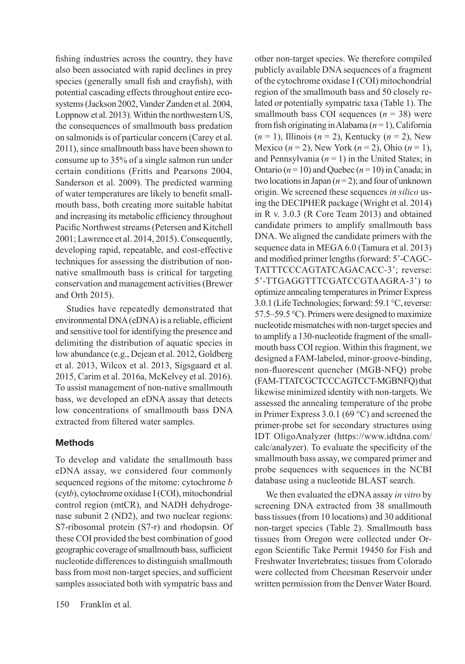fishing industries across the country, they have also been associated with rapid declines in prey species (generally small fish and crayfish), with potential cascading effects throughout entire ecosystems (Jackson 2002, Vander Zanden et al. 2004, Loppnow et al. 2013). Within the northwestern US, the consequences of smallmouth bass predation on salmonids is of particular concern (Carey et al. 2011), since smallmouth bass have been shown to consume up to 35% of a single salmon run under certain conditions (Fritts and Pearsons 2004, Sanderson et al. 2009). The predicted warming of water temperatures are likely to benefit smallmouth bass, both creating more suitable habitat and increasing its metabolic efficiency throughout Pacific Northwest streams (Petersen and Kitchell 2001; Lawrence et al. 2014, 2015). Consequently, developing rapid, repeatable, and cost-effective techniques for assessing the distribution of nonnative smallmouth bass is critical for targeting conservation and management activities (Brewer and Orth 2015).

Studies have repeatedly demonstrated that environmental DNA (eDNA) is a reliable, efficient and sensitive tool for identifying the presence and delimiting the distribution of aquatic species in low abundance (e.g., Dejean et al. 2012, Goldberg et al. 2013, Wilcox et al. 2013, Sigsgaard et al. 2015, Carim et al. 2016a, McKelvey et al. 2016). To assist management of non-native smallmouth bass, we developed an eDNA assay that detects low concentrations of smallmouth bass DNA extracted from filtered water samples.

## **Methods**

To develop and validate the smallmouth bass eDNA assay, we considered four commonly sequenced regions of the mitome: cytochrome *b* (cyt*b*), cytochrome oxidase I (COI), mitochondrial control region (mtCR), and NADH dehydrogenase subunit 2 (ND2), and two nuclear regions: S7-ribosomal protein (S7-r) and rhodopsin. Of these COI provided the best combination of good geographic coverage of smallmouth bass, sufficient nucleotide differences to distinguish smallmouth bass from most non-target species, and sufficient samples associated both with sympatric bass and

150 Franklin et al.

other non-target species. We therefore compiled publicly available DNA sequences of a fragment of the cytochrome oxidase I (COI) mitochondrial region of the smallmouth bass and 50 closely related or potentially sympatric taxa (Table 1). The smallmouth bass COI sequences  $(n = 38)$  were from fish originating in Alabama (*n* = 1), California (*n* = 1), Illinois (*n* = 2), Kentucky (*n* = 2), New Mexico (*n* = 2), New York (*n* = 2), Ohio (*n* = 1), and Pennsylvania  $(n = 1)$  in the United States; in Ontario  $(n = 10)$  and Quebec  $(n = 10)$  in Canada; in two locations in Japan (*n* = 2); and four of unknown origin. We screened these sequences *in silico* using the DECIPHER package (Wright et al. 2014) in R v. 3.0.3 (R Core Team 2013) and obtained candidate primers to amplify smallmouth bass DNA. We aligned the candidate primers with the sequence data in MEGA 6.0 (Tamura et al. 2013) and modified primer lengths (forward: 5'-CAGC-TATTTCCCAGTATCAGACACC-3'; reverse: 5'-TTGAGGTTTCGATCCGTAAGRA-3') to optimize annealing temperatures in Primer Express 3.0.1 (Life Technologies; forward: 59.1 °C, reverse: 57.5–59.5 °C). Primers were designed to maximize nucleotide mismatches with non-target species and to amplify a 130-nucleotide fragment of the smallmouth bass COI region. Within this fragment, we designed a FAM-labeled, minor-groove-binding, non-fluorescent quencher (MGB-NFQ) probe (FAM-TTATCGCTCCCAGTCCT-MGBNFQ) that likewise minimized identity with non-targets. We assessed the annealing temperature of the probe in Primer Express 3.0.1 (69 °C) and screened the primer-probe set for secondary structures using IDT OligoAnalyzer (https://www.idtdna.com/ calc/analyzer). To evaluate the specificity of the smallmouth bass assay, we compared primer and probe sequences with sequences in the NCBI database using a nucleotide BLAST search.

We then evaluated the eDNA assay *in vitro* by screening DNA extracted from 38 smallmouth bass tissues (from 10 locations) and 30 additional non-target species (Table 2). Smallmouth bass tissues from Oregon were collected under Oregon Scientific Take Permit 19450 for Fish and Freshwater Invertebrates; tissues from Colorado were collected from Cheesman Reservoir under written permission from the Denver Water Board.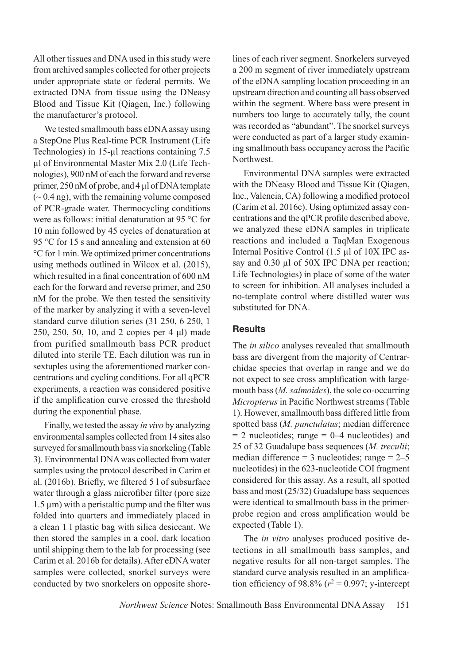All other tissues and DNA used in this study were from archived samples collected for other projects under appropriate state or federal permits. We extracted DNA from tissue using the DNeasy Blood and Tissue Kit (Qiagen, Inc.) following the manufacturer's protocol.

We tested smallmouth bass eDNA assay using a StepOne Plus Real-time PCR Instrument (Life Technologies) in 15-µl reactions containing 7.5 µl of Environmental Master Mix 2.0 (Life Technologies), 900 nM of each the forward and reverse primer, 250 nM of probe, and 4 µl of DNA template  $(-0.4 \text{ ng})$ , with the remaining volume composed of PCR-grade water. Thermocycling conditions were as follows: initial denaturation at 95 °C for 10 min followed by 45 cycles of denaturation at 95 °C for 15 s and annealing and extension at 60 °C for 1 min. We optimized primer concentrations using methods outlined in Wilcox et al. (2015), which resulted in a final concentration of 600 nM each for the forward and reverse primer, and 250 nM for the probe. We then tested the sensitivity of the marker by analyzing it with a seven-level standard curve dilution series (31 250, 6 250, 1 250, 250, 50, 10, and 2 copies per 4 μl) made from purified smallmouth bass PCR product diluted into sterile TE. Each dilution was run in sextuples using the aforementioned marker concentrations and cycling conditions. For all qPCR experiments, a reaction was considered positive if the amplification curve crossed the threshold during the exponential phase.

Finally, we tested the assay *in vivo* by analyzing environmental samples collected from 14 sites also surveyed for smallmouth bass via snorkeling (Table 3). Environmental DNA was collected from water samples using the protocol described in Carim et al. (2016b). Briefly, we filtered 5 l of subsurface water through a glass microfiber filter (pore size  $1.5 \mu m$ ) with a peristaltic pump and the filter was folded into quarters and immediately placed in a clean 1 l plastic bag with silica desiccant. We then stored the samples in a cool, dark location until shipping them to the lab for processing (see Carim et al. 2016b for details). After eDNA water samples were collected, snorkel surveys were conducted by two snorkelers on opposite shorelines of each river segment. Snorkelers surveyed a 200 m segment of river immediately upstream of the eDNA sampling location proceeding in an upstream direction and counting all bass observed within the segment. Where bass were present in numbers too large to accurately tally, the count was recorded as "abundant". The snorkel surveys were conducted as part of a larger study examining smallmouth bass occupancy across the Pacific Northwest.

Environmental DNA samples were extracted with the DNeasy Blood and Tissue Kit (Qiagen, Inc., Valencia, CA) following a modified protocol (Carim et al. 2016c). Using optimized assay concentrations and the qPCR profile described above, we analyzed these eDNA samples in triplicate reactions and included a TaqMan Exogenous Internal Positive Control (1.5 µl of 10X IPC assay and 0.30 µl of 50X IPC DNA per reaction; Life Technologies) in place of some of the water to screen for inhibition. All analyses included a no-template control where distilled water was substituted for DNA.

## **Results**

The *in silico* analyses revealed that smallmouth bass are divergent from the majority of Centrarchidae species that overlap in range and we do not expect to see cross amplification with largemouth bass (*M. salmoides*), the sole co-occurring *Micropterus* in Pacific Northwest streams (Table 1). However, smallmouth bass differed little from spotted bass (*M. punctulatus*; median difference  $= 2$  nucleotides; range  $= 0$ —4 nucleotides) and 25 of 32 Guadalupe bass sequences (*M. treculii*; median difference =  $3$  nucleotides; range =  $2-5$ nucleotides) in the 623-nucleotide COI fragment considered for this assay. As a result, all spotted bass and most (25/32) Guadalupe bass sequences were identical to smallmouth bass in the primerprobe region and cross amplification would be expected (Table 1).

The *in vitro* analyses produced positive detections in all smallmouth bass samples, and negative results for all non-target samples. The standard curve analysis resulted in an amplification efficiency of 98.8%  $(r^2 = 0.997; y\text{-intercept})$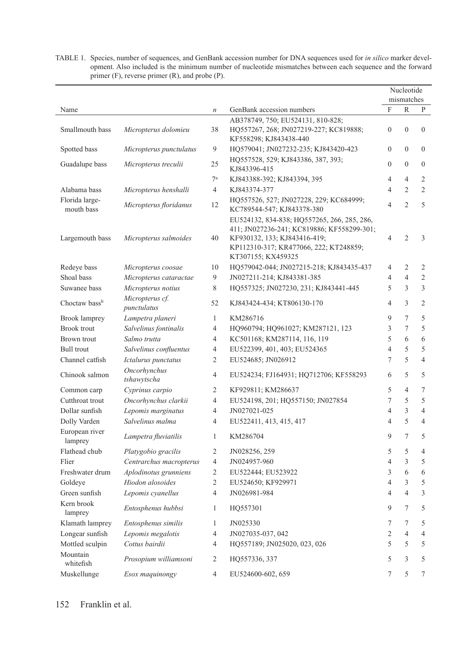|                              |                                |                                                                             |                                                                                                                                                                                           | Nucleotide<br>mismatches |                  |                |
|------------------------------|--------------------------------|-----------------------------------------------------------------------------|-------------------------------------------------------------------------------------------------------------------------------------------------------------------------------------------|--------------------------|------------------|----------------|
| Name                         |                                | $\boldsymbol{n}$                                                            | GenBank accession numbers                                                                                                                                                                 | F                        | R                | P              |
|                              |                                |                                                                             | AB378749, 750; EU524131, 810-828;                                                                                                                                                         |                          |                  |                |
| Smallmouth bass              | Micropterus dolomieu           | 38                                                                          | HQ557267, 268; JN027219-227; KC819888;<br>KF558298; KJ843438-440                                                                                                                          | $\boldsymbol{0}$         | $\boldsymbol{0}$ | $\mathbf{0}$   |
| Spotted bass                 | Micropterus punctulatus        | 9                                                                           | HQ579041; JN027232-235; KJ843420-423                                                                                                                                                      | $\boldsymbol{0}$         | $\mathbf{0}$     | $\mathbf{0}$   |
| Guadalupe bass               | Micropterus treculii           | 25                                                                          | HQ557528, 529; KJ843386, 387, 393;<br>KJ843396-415                                                                                                                                        | $\mathbf{0}$             | $\mathbf{0}$     | $\mathbf{0}$   |
|                              |                                | 7 <sup>a</sup>                                                              | KJ843388-392; KJ843394, 395                                                                                                                                                               | 4                        | $\overline{4}$   | 2              |
| Alabama bass                 | Micropterus henshalli          | $\overline{4}$                                                              | KJ843374-377                                                                                                                                                                              | 4                        | $\overline{2}$   | $\overline{2}$ |
| Florida large-<br>mouth bass | Micropterus floridanus         | HQ557526, 527; JN027228, 229; KC684999;<br>12<br>KC789544-547; KJ843378-380 |                                                                                                                                                                                           | $\overline{4}$           | $\overline{2}$   | 5              |
| Largemouth bass              | Micropterus salmoides          | 40                                                                          | EU524132, 834-838; HQ557265, 266, 285, 286,<br>411; JN027236-241; KC819886; KF558299-301;<br>KF930132, 133; KJ843416-419;<br>KP112310-317; KR477066, 222; KT248859;<br>KT307155; KX459325 | 4                        | $\overline{2}$   | 3              |
| Redeye bass                  | Micropterus coosae             | 10                                                                          | HQ579042-044; JN027215-218; KJ843435-437                                                                                                                                                  | 4                        | 2                | 2              |
| Shoal bass                   | Micropterus cataractae         | 9                                                                           | JN027211-214; KJ843381-385                                                                                                                                                                | 4                        | $\overline{4}$   | $\overline{2}$ |
| Suwanee bass                 | Micropterus notius             | 8                                                                           | HQ557325; JN027230, 231; KJ843441-445                                                                                                                                                     | 5                        | 3                | 3              |
| Choctaw bassb                | Micropterus cf.<br>punctulatus | 52                                                                          | KJ843424-434; KT806130-170                                                                                                                                                                | 4                        | 3                | $\overline{2}$ |
| Brook lamprey                | Lampetra planeri               | $\mathbf{1}$                                                                | KM286716                                                                                                                                                                                  | 9                        | 7                | 5              |
| <b>Brook</b> trout           | Salvelinus fontinalis          | 4                                                                           | HQ960794; HQ961027; KM287121, 123                                                                                                                                                         | 3                        | 7                | 5              |
| Brown trout                  | Salmo trutta                   | 4                                                                           | KC501168; KM287114, 116, 119                                                                                                                                                              | 5                        | 6                | 6              |
| <b>Bull</b> trout            | Salvelinus confluentus         | 4                                                                           | EU522399, 401, 403; EU524365                                                                                                                                                              | 4                        | 5                | 5              |
| Channel catfish              | Ictalurus punctatus            | 2                                                                           | EU524685; JN026912                                                                                                                                                                        | 7                        | 5                | $\overline{4}$ |
| Chinook salmon               | Oncorhynchus<br>tshawytscha    | $\overline{4}$                                                              | EU524234; FJ164931; HQ712706; KF558293                                                                                                                                                    | 6                        | 5                | 5              |
| Common carp                  | Cyprinus carpio                | 2                                                                           | KF929811; KM286637                                                                                                                                                                        | 5                        | $\overline{4}$   | 7              |
| Cutthroat trout              | Oncorhynchus clarkii           | 4                                                                           | EU524198, 201; HQ557150; JN027854                                                                                                                                                         | 7                        | 5                | 5              |
| Dollar sunfish               | Lepomis marginatus             | 4                                                                           | JN027021-025                                                                                                                                                                              | 4                        | 3                | $\overline{4}$ |
| Dolly Varden                 | Salvelinus malma               | $\overline{4}$                                                              | EU522411, 413, 415, 417                                                                                                                                                                   | 4                        | 5                | $\overline{4}$ |
| European river<br>lamprey    | Lampetra fluviatilis           | 1                                                                           | KM286704                                                                                                                                                                                  | 9                        | 7                | 5              |
| Flathead chub                | Platygobio gracilis            | 2                                                                           | JN028256, 259                                                                                                                                                                             | 5                        | 5                | $\overline{4}$ |
| Flier                        | Centrarchus macropterus        | $\overline{4}$                                                              | JN024957-960                                                                                                                                                                              | 4                        | 3                | 5              |
| Freshwater drum              | Aplodinotus grunniens          | 2                                                                           | EU522444; EU523922                                                                                                                                                                        | 3                        | 6                | 6              |
| Goldeye                      | Hiodon alosoides               | $\overline{2}$                                                              | EU524650; KF929971                                                                                                                                                                        | $\overline{4}$           | 3                | 5              |
| Green sunfish                | Lepomis cyanellus              | 4                                                                           | JN026981-984                                                                                                                                                                              | 4                        | $\overline{4}$   | 3              |
| Kern brook<br>lamprey        | Entosphenus hubbsi             | 1                                                                           | HQ557301                                                                                                                                                                                  | 9                        | 7                | 5              |
| Klamath lamprey              | Entosphenus similis            | 1                                                                           | JN025330                                                                                                                                                                                  | 7                        | 7                | 5              |
| Longear sunfish              | Lepomis megalotis              | 4                                                                           | JN027035-037, 042                                                                                                                                                                         | $\overline{c}$           | 4                | 4              |
| Mottled sculpin              | Cottus bairdii                 | 4                                                                           | HQ557189; JN025020, 023, 026                                                                                                                                                              | 5                        | 5                | 5              |
| Mountain<br>whitefish        | Prosopium williamsoni          | 2                                                                           | HQ557336, 337                                                                                                                                                                             | 5                        | 3                | 5              |
| Muskellunge                  | Esox maquinongy                | 4                                                                           | EU524600-602, 659                                                                                                                                                                         | 7                        | 5                | 7              |

TABLE 1. Species, number of sequences, and GenBank accession number for DNA sequences used for *in silico* marker development. Also included is the minimum number of nucleotide mismatches between each sequence and the forward primer (F), reverse primer (R), and probe (P).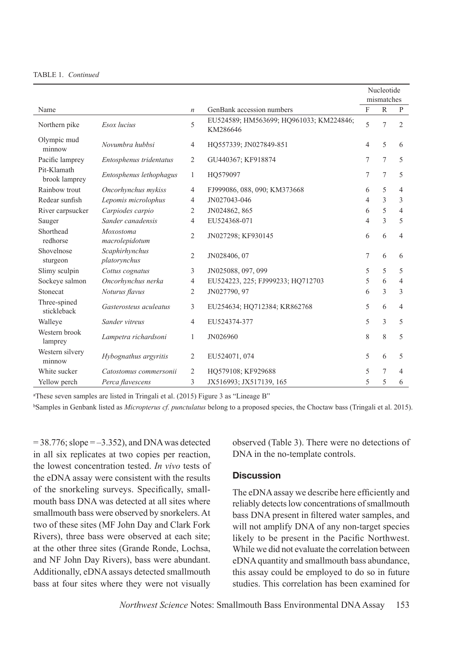|                                       |                                    |                         |                                                     | Nucleotide     |              |                |
|---------------------------------------|------------------------------------|-------------------------|-----------------------------------------------------|----------------|--------------|----------------|
|                                       |                                    |                         |                                                     | mismatches     |              |                |
| Name                                  |                                    | $\boldsymbol{n}$        | GenBank accession numbers                           | $\mathbf{F}$   | $\mathbb{R}$ | $\mathbf{P}$   |
| Northern pike                         | Esox lucius                        | 5                       | EU524589; HM563699; HQ961033; KM224846;<br>KM286646 | 5              | 7            | $\overline{2}$ |
| Olympic mud<br>minnow                 | Novumbra hubbsi                    | 4                       | HO557339; JN027849-851                              | $\overline{4}$ | 5            | 6              |
| Pacific lamprey                       | Entosphenus tridentatus            | $\overline{2}$          | GU440367; KF918874                                  | 7              | 7            | 5              |
| Pit-Klamath<br>brook lamprey          | Entosphenus lethophagus            | 1                       | HO579097                                            |                | 7            | 5              |
| Rainbow trout                         | Oncorhynchus mykiss                | $\overline{4}$          | FJ999086, 088, 090; KM373668                        | 6              | 5            | $\overline{4}$ |
| Redear sunfish                        | Lepomis microlophus                | $\overline{4}$          | JN027043-046                                        | 4              | 3            | 3              |
| River carpsucker                      | Carpiodes carpio                   | 2                       | JN024862, 865                                       | 6              | 5            | $\overline{4}$ |
| Sauger                                | Sander canadensis                  | $\overline{4}$          | EU524368-071                                        | $\overline{4}$ | 3            | 5              |
| Shorthead<br>redhorse                 | <b>Moxostoma</b><br>macrolepidotum | $\overline{2}$          | JN027298; KF930145                                  | 6              | 6            | 4              |
| Shovelnose<br>sturgeon                | Scaphirhynchus<br>platorynchus     | 2                       | JN028406, 07                                        | 7              | 6            | 6              |
| Slimy sculpin                         | Cottus cognatus                    | 3                       | JN025088, 097, 099                                  | 5              | 5            | 5              |
| Sockeye salmon                        | Oncorhynchus nerka                 |                         | EU524223, 225; FJ999233; HQ712703                   | 5              | 6            | 4              |
| Stonecat                              | Noturus flavus                     |                         | JN027790, 97                                        |                | 3            | 3              |
| Three-spined<br>stickleback           | Gasterosteus aculeatus             | 3                       | EU254634; HQ712384; KR862768                        | 5              | 6            | 4              |
| Walleye                               | Sander vitreus                     | 4                       | EU524374-377                                        | 5              | 3            | 5              |
| Western brook<br>lamprey              | Lampetra richardsoni               | 1                       | JN026960                                            | 8              | 8            | 5              |
| Western silvery<br>minnow             | Hybognathus argyritis              | $\overline{c}$          | EU524071, 074                                       | 5              | 6            | 5              |
| White sucker                          | Catostomus commersonii             | 2                       | HO579108; KF929688                                  | 5              | 7            | 4              |
| 3<br>Yellow perch<br>Perca flavescens |                                    | JX516993; JX517139, 165 | 5                                                   | 5              | 6            |                |

a These seven samples are listed in Tringali et al. (2015) Figure 3 as "Lineage B"

bSamples in Genbank listed as *Micropterus cf. punctulatus* belong to a proposed species, the Choctaw bass (Tringali et al. 2015).

 $= 38.776$ ; slope  $= -3.352$ ), and DNA was detected in all six replicates at two copies per reaction, the lowest concentration tested. *In vivo* tests of the eDNA assay were consistent with the results of the snorkeling surveys. Specifically, smallmouth bass DNA was detected at all sites where smallmouth bass were observed by snorkelers. At two of these sites (MF John Day and Clark Fork Rivers), three bass were observed at each site; at the other three sites (Grande Ronde, Lochsa, and NF John Day Rivers), bass were abundant. Additionally, eDNA assays detected smallmouth bass at four sites where they were not visually observed (Table 3). There were no detections of DNA in the no-template controls.

## **Discussion**

The eDNA assay we describe here efficiently and reliably detects low concentrations of smallmouth bass DNA present in filtered water samples, and will not amplify DNA of any non-target species likely to be present in the Pacific Northwest. While we did not evaluate the correlation between eDNA quantity and smallmouth bass abundance, this assay could be employed to do so in future studies. This correlation has been examined for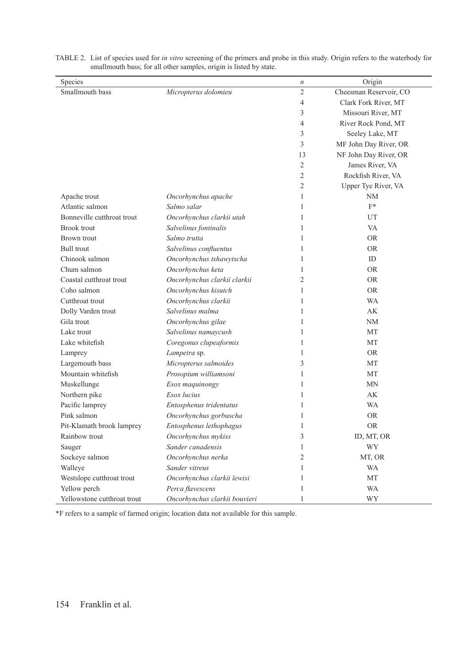| Species                     |                               | $\boldsymbol{n}$ | Origin                 |
|-----------------------------|-------------------------------|------------------|------------------------|
| Smallmouth bass             | Micropterus dolomieu          | $\overline{c}$   | Cheesman Reservoir, CO |
|                             |                               | 4                | Clark Fork River, MT   |
|                             |                               | 3                | Missouri River, MT     |
|                             |                               | 4                | River Rock Pond, MT    |
|                             |                               | 3                | Seeley Lake, MT        |
|                             |                               | 3                | MF John Day River, OR  |
|                             |                               | 13               | NF John Day River, OR  |
|                             |                               | 2                | James River, VA        |
|                             |                               | $\overline{c}$   | Rockfish River, VA     |
|                             |                               | 2                | Upper Tye River, VA    |
| Apache trout                | Oncorhynchus apache           | $\mathbf{1}$     | NM                     |
| Atlantic salmon             | Salmo salar                   | 1                | $F^*$                  |
| Bonneville cutthroat trout  | Oncorhynchus clarkii utah     | $\mathbf{1}$     | UT                     |
| <b>Brook trout</b>          | Salvelinus fontinalis         | 1                | VA                     |
| Brown trout                 | Salmo trutta                  | 1                | <b>OR</b>              |
| <b>Bull trout</b>           | Salvelinus confluentus        | 1                | <b>OR</b>              |
| Chinook salmon              | Oncorhynchus tshawytscha      | 1                | ID                     |
| Chum salmon                 | Oncorhynchus keta             | 1                | <b>OR</b>              |
| Coastal cutthroat trout     | Oncorhynchus clarkii clarkii  | $\overline{2}$   | <b>OR</b>              |
| Coho salmon                 | Oncorhynchus kisutch          | 1                | <b>OR</b>              |
| Cutthroat trout             | Oncorhynchus clarkii          | 1                | WA                     |
| Dolly Varden trout          | Salvelinus malma              | 1                | AK                     |
| Gila trout                  | Oncorhynchus gilae            | $\mathbf{1}$     | <b>NM</b>              |
| Lake trout                  | Salvelinus namaycush          | 1                | MT                     |
| Lake whitefish              | Coregonus clupeaformis        | $\mathbf{1}$     | MT                     |
| Lamprey                     | Lampetra sp.                  | 1                | <b>OR</b>              |
| Largemouth bass             | Micropterus salmoides         | 3                | МT                     |
| Mountain whitefish          | Prosopium williamsoni         | 1                | <b>MT</b>              |
| Muskellunge                 | Esox maquinongy               | 1                | <b>MN</b>              |
| Northern pike               | Esox lucius                   | $\mathbf{1}$     | AK                     |
| Pacific lamprey             | Entosphenus tridentatus       | $\mathbf{1}$     | <b>WA</b>              |
| Pink salmon                 | Oncorhynchus gorbuscha        | 1                | <b>OR</b>              |
| Pit-Klamath brook lamprey   | Entosphenus lethophagus       | 1                | <b>OR</b>              |
| Rainbow trout               | Oncorhynchus mykiss           | 3                | ID, MT, OR             |
| Sauger                      | Sander canadensis             | $\mathbf{1}$     | WY                     |
| Sockeye salmon              | Oncorhynchus nerka            | $\overline{c}$   | MT, OR                 |
| Walleye                     | Sander vitreus                | $\mathbf{1}$     | <b>WA</b>              |
| Westslope cutthroat trout   | Oncorhynchus clarkii lewisi   | $\mathbf{1}$     | MT                     |
| Yellow perch                | Perca flavescens              | 1                | <b>WA</b>              |
| Yellowstone cutthroat trout | Oncorhynchus clarkii bouvieri | 1                | WY                     |

TABLE 2. List of species used for *in vitro* screening of the primers and probe in this study. Origin refers to the waterbody for smallmouth bass; for all other samples, origin is listed by state.

\*F refers to a sample of farmed origin; location data not available for this sample.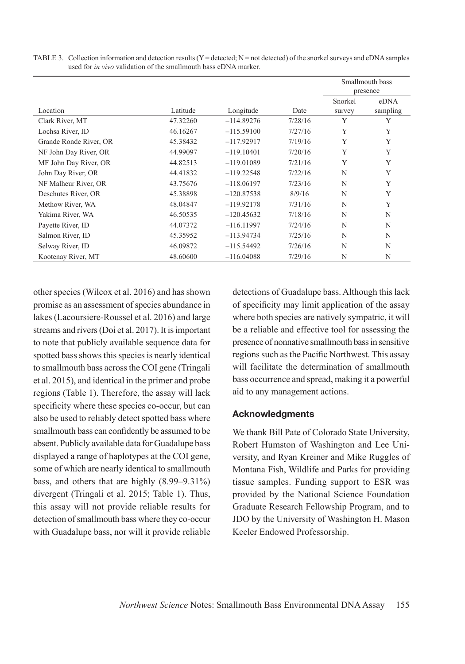|                        |          |              |         | Smallmouth bass |          |
|------------------------|----------|--------------|---------|-----------------|----------|
|                        |          |              |         | presence        |          |
|                        |          |              |         | Snorkel         | eDNA     |
| Location               | Latitude | Longitude    | Date    | survey          | sampling |
| Clark River, MT        | 47.32260 | $-114.89276$ | 7/28/16 | Y               | Y        |
| Lochsa River, ID       | 46.16267 | $-115.59100$ | 7/27/16 | Y               | Y        |
| Grande Ronde River, OR | 45.38432 | $-117.92917$ | 7/19/16 | Y               | Y        |
| NF John Day River, OR  | 44.99097 | $-119.10401$ | 7/20/16 | Y               | Y        |
| MF John Day River, OR  | 44.82513 | $-119.01089$ | 7/21/16 | Y               | Y        |
| John Day River, OR     | 44.41832 | $-119.22548$ | 7/22/16 | N               | Y        |
| NF Malheur River, OR   | 43.75676 | $-118.06197$ | 7/23/16 | N               | Y        |
| Deschutes River, OR    | 45.38898 | $-120.87538$ | 8/9/16  | N               | Y        |
| Methow River, WA       | 48.04847 | $-119.92178$ | 7/31/16 | N               | Y        |
| Yakima River, WA       | 46.50535 | $-120.45632$ | 7/18/16 | N               | N        |
| Payette River, ID      | 44.07372 | $-116.11997$ | 7/24/16 | N               | N        |
| Salmon River, ID       | 45.35952 | $-113.94734$ | 7/25/16 | N               | N        |
| Selway River, ID       | 46.09872 | $-115.54492$ | 7/26/16 | N               | N        |
| Kootenay River, MT     | 48.60600 | $-116.04088$ | 7/29/16 | N               | N        |

TABLE 3. Collection information and detection results  $(Y = \text{detected}$ ;  $N = \text{not detected})$  of the snorkel surveys and eDNA samples used for *in vivo* validation of the smallmouth bass eDNA marker.

other species (Wilcox et al. 2016) and has shown promise as an assessment of species abundance in lakes (Lacoursiere-Roussel et al. 2016) and large streams and rivers (Doi et al. 2017). It is important to note that publicly available sequence data for spotted bass shows this species is nearly identical to smallmouth bass across the COI gene (Tringali et al. 2015), and identical in the primer and probe regions (Table 1). Therefore, the assay will lack specificity where these species co-occur, but can also be used to reliably detect spotted bass where smallmouth bass can confidently be assumed to be absent. Publicly available data for Guadalupe bass displayed a range of haplotypes at the COI gene, some of which are nearly identical to smallmouth bass, and others that are highly (8.99–9.31%) divergent (Tringali et al. 2015; Table 1). Thus, this assay will not provide reliable results for detection of smallmouth bass where they co-occur with Guadalupe bass, nor will it provide reliable detections of Guadalupe bass. Although this lack of specificity may limit application of the assay where both species are natively sympatric, it will be a reliable and effective tool for assessing the presence of nonnative smallmouth bass in sensitive regions such as the Pacific Northwest. This assay will facilitate the determination of smallmouth bass occurrence and spread, making it a powerful aid to any management actions.

### **Acknowledgments**

We thank Bill Pate of Colorado State University, Robert Humston of Washington and Lee University, and Ryan Kreiner and Mike Ruggles of Montana Fish, Wildlife and Parks for providing tissue samples. Funding support to ESR was provided by the National Science Foundation Graduate Research Fellowship Program, and to JDO by the University of Washington H. Mason Keeler Endowed Professorship.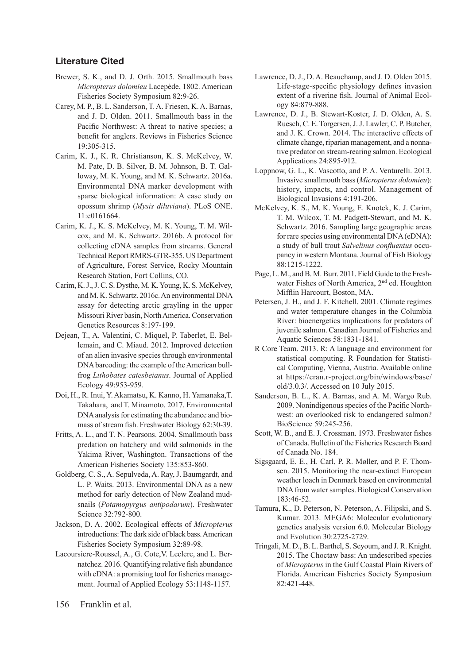## **Literature Cited**

- Brewer, S. K., and D. J. Orth. 2015. Smallmouth bass *Micropterus dolomieu* Lacepède, 1802. American Fisheries Society Symposium 82:9-26.
- Carey, M. P., B. L. Sanderson, T. A. Friesen, K. A. Barnas, and J. D. Olden. 2011. Smallmouth bass in the Pacific Northwest: A threat to native species; a benefit for anglers. Reviews in Fisheries Science 19:305-315.
- Carim, K. J., K. R. Christianson, K. S. McKelvey, W. M. Pate, D. B. Silver, B. M. Johnson, B. T. Galloway, M. K. Young, and M. K. Schwartz. 2016a. Environmental DNA marker development with sparse biological information: A case study on opossum shrimp (*Mysis diluviana*). PLoS ONE. 11:e0161664.
- Carim, K. J., K. S. McKelvey, M. K. Young, T. M. Wilcox, and M. K. Schwartz. 2016b. A protocol for collecting eDNA samples from streams. General Technical Report RMRS-GTR-355. US Department of Agriculture, Forest Service, Rocky Mountain Research Station, Fort Collins, CO.
- Carim, K. J., J. C. S. Dysthe, M. K. Young, K. S. McKelvey, and M. K. Schwartz. 2016c. An environmental DNA assay for detecting arctic grayling in the upper Missouri River basin, North America. Conservation Genetics Resources 8:197-199.
- Dejean, T., A. Valentini, C. Miquel, P. Taberlet, E. Bellemain, and C. Miaud. 2012. Improved detection of an alien invasive species through environmental DNA barcoding: the example of the American bullfrog *Lithobates catesbeianus*. Journal of Applied Ecology 49:953-959.
- Doi, H., R. Inui, Y. Akamatsu, K. Kanno, H. Yamanaka,T. Takahara, and T. Minamoto. 2017. Environmental DNA analysis for estimating the abundance and biomass of stream fish. Freshwater Biology 62:30-39.
- Fritts, A. L., and T. N. Pearsons. 2004. Smallmouth bass predation on hatchery and wild salmonids in the Yakima River, Washington. Transactions of the American Fisheries Society 135:853-860.
- Goldberg, C. S., A. Sepulveda, A. Ray, J. Baumgardt, and L. P. Waits. 2013. Environmental DNA as a new method for early detection of New Zealand mudsnails (*Potamopyrgus antipodarum*). Freshwater Science 32:792-800.
- Jackson, D. A. 2002. Ecological effects of *Micropterus* introductions: The dark side of black bass. American Fisheries Society Symposium 32:89-98.
- Lacoursiere-Roussel, A., G. Cote,V. Leclerc, and L. Bernatchez. 2016. Quantifying relative fish abundance with eDNA: a promising tool for fisheries management. Journal of Applied Ecology 53:1148-1157.
- Lawrence, D. J., D. A. Beauchamp, and J. D. Olden 2015. Life-stage-specific physiology defines invasion extent of a riverine fish. Journal of Animal Ecology 84:879-888.
- Lawrence, D. J., B. Stewart-Koster, J. D. Olden, A. S. Ruesch, C. E. Torgersen, J. J. Lawler, C. P. Butcher, and J. K. Crown. 2014. The interactive effects of climate change, riparian management, and a nonnative predator on stream-rearing salmon. Ecological Applications 24:895-912.
- Loppnow, G. L., K. Vascotto, and P. A. Venturelli. 2013. Invasive smallmouth bass (*Micropterus dolomieu*): history, impacts, and control. Management of Biological Invasions 4:191-206.
- McKelvey, K. S., M. K. Young, E. Knotek, K. J. Carim, T. M. Wilcox, T. M. Padgett-Stewart, and M. K. Schwartz. 2016. Sampling large geographic areas for rare species using environmental DNA (eDNA): a study of bull trout *Salvelinus confluentus* occupancy in western Montana. Journal of Fish Biology 88:1215-1222.
- Page, L. M., and B. M. Burr. 2011. Field Guide to the Freshwater Fishes of North America, 2<sup>nd</sup> ed. Houghton Mifflin Harcourt, Boston, MA.
- Petersen, J. H., and J. F. Kitchell. 2001. Climate regimes and water temperature changes in the Columbia River: bioenergetics implications for predators of juvenile salmon. Canadian Journal of Fisheries and Aquatic Sciences 58:1831-1841.
- R Core Team. 2013. R: A language and environment for statistical computing. R Foundation for Statistical Computing, Vienna, Austria. Available online at https://cran.r-project.org/bin/windows/base/ old/3.0.3/. Accessed on 10 July 2015.
- Sanderson, B. L., K. A. Barnas, and A. M. Wargo Rub. 2009. Nonindigenous species of the Pacific Northwest: an overlooked risk to endangered salmon? BioScience 59:245-256.
- Scott, W. B., and E. J. Crossman. 1973. Freshwater fishes of Canada. Bulletin of the Fisheries Research Board of Canada No. 184.
- Sigsgaard, E. E., H. Carl, P. R. Møller, and P. F. Thomsen. 2015. Monitoring the near-extinct European weather loach in Denmark based on environmental DNA from water samples. Biological Conservation 183:46-52.
- Tamura, K., D. Peterson, N. Peterson, A. Filipski, and S. Kumar. 2013. MEGA6: Molecular evolutionary genetics analysis version 6.0. Molecular Biology and Evolution 30:2725-2729.
- Tringali, M. D., B. L. Barthel, S. Seyoum, and J. R. Knight. 2015. The Choctaw bass: An undescribed species of *Micropterus* in the Gulf Coastal Plain Rivers of Florida. American Fisheries Society Symposium 82:421-448.

156 Franklin et al.